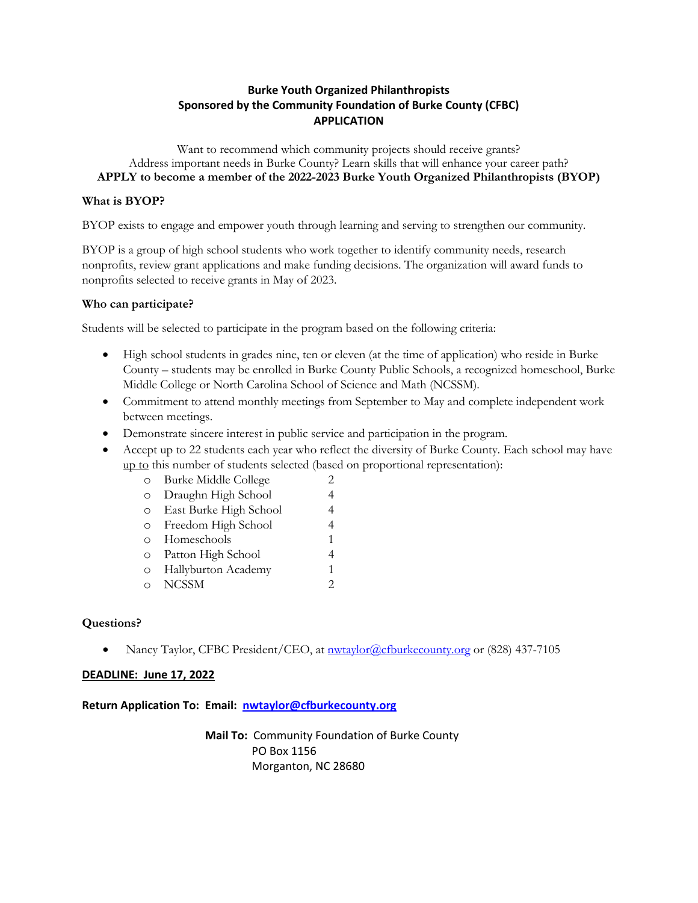## **Burke Youth Organized Philanthropists Sponsored by the Community Foundation of Burke County (CFBC) APPLICATION**

Want to recommend which community projects should receive grants? Address important needs in Burke County? Learn skills that will enhance your career path? **APPLY to become a member of the 2022-2023 Burke Youth Organized Philanthropists (BYOP)**

## **What is BYOP?**

BYOP exists to engage and empower youth through learning and serving to strengthen our community.

BYOP is a group of high school students who work together to identify community needs, research nonprofits, review grant applications and make funding decisions. The organization will award funds to nonprofits selected to receive grants in May of 2023.

## **Who can participate?**

Students will be selected to participate in the program based on the following criteria:

- High school students in grades nine, ten or eleven (at the time of application) who reside in Burke County – students may be enrolled in Burke County Public Schools, a recognized homeschool, Burke Middle College or North Carolina School of Science and Math (NCSSM).
- Commitment to attend monthly meetings from September to May and complete independent work between meetings.
- Demonstrate sincere interest in public service and participation in the program.
- Accept up to 22 students each year who reflect the diversity of Burke County. Each school may have up to this number of students selected (based on proportional representation):
	- o Burke Middle College 2
	- o Draughn High School 4
	- o East Burke High School 4
	- o Freedom High School 4
	- o Homeschools 1
	- o Patton High School 4
	- o Hallyburton Academy 1
	- o NCSSM 2

## **Questions?**

• Nancy Taylor, CFBC President/CEO, at nwtaylor@cfburkecounty.org or (828) 437-7105

### **DEADLINE: June 17, 2022**

### **Return Application To: Email: nwtaylor@cfburkecounty.org**

**Mail To:** Community Foundation of Burke County PO Box 1156 Morganton, NC 28680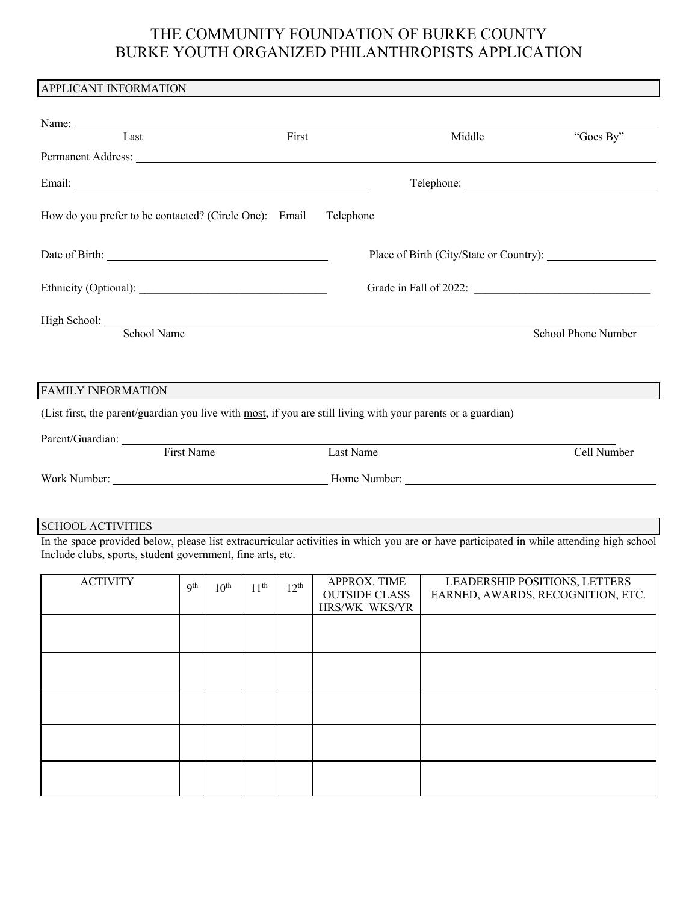# THE COMMUNITY FOUNDATION OF BURKE COUNTY BURKE YOUTH ORGANIZED PHILANTHROPISTS APPLICATION

| APPLICANT INFORMATION                                                                                                                                                                                                         |       |                                         |                     |  |  |
|-------------------------------------------------------------------------------------------------------------------------------------------------------------------------------------------------------------------------------|-------|-----------------------------------------|---------------------|--|--|
|                                                                                                                                                                                                                               |       |                                         |                     |  |  |
| Name:                                                                                                                                                                                                                         |       |                                         |                     |  |  |
| Last                                                                                                                                                                                                                          | First | Middle                                  | "Goes By"           |  |  |
| Permanent Address: North American Secretary Address: North Address: North Address: North American Secretary Address: North Address: North Address: North Address: North Address: North Address: North Address: North Address: |       |                                         |                     |  |  |
|                                                                                                                                                                                                                               |       |                                         |                     |  |  |
| How do you prefer to be contacted? (Circle One): Email                                                                                                                                                                        |       | Telephone                               |                     |  |  |
|                                                                                                                                                                                                                               |       | Place of Birth (City/State or Country): |                     |  |  |
|                                                                                                                                                                                                                               |       |                                         |                     |  |  |
| High School: <u>School Name</u>                                                                                                                                                                                               |       |                                         | School Phone Number |  |  |
| <b>FAMILY INFORMATION</b>                                                                                                                                                                                                     |       |                                         |                     |  |  |
| (List first, the parent/guardian you live with most, if you are still living with your parents or a guardian)                                                                                                                 |       |                                         |                     |  |  |
|                                                                                                                                                                                                                               |       |                                         |                     |  |  |
| Parent/Guardian: First Name                                                                                                                                                                                                   |       | Last Name                               | Cell Number         |  |  |
|                                                                                                                                                                                                                               |       |                                         |                     |  |  |
| <b>SCHOOL ACTIVITIES</b>                                                                                                                                                                                                      |       |                                         |                     |  |  |
| In the space provided below, please list extracurricular activities in which you are or have participated in while attending high school<br>Include clubs, sports, student government, fine arts, etc.                        |       |                                         |                     |  |  |

| <b>ACTIVITY</b> | 9 <sup>th</sup> | $10^{\text{th}}$ | 11 <sup>th</sup> | $12^{\text{th}}$ | APPROX. TIME<br><b>OUTSIDE CLASS</b><br>HRS/WK WKS/YR | LEADERSHIP POSITIONS, LETTERS<br>EARNED, AWARDS, RECOGNITION, ETC. |
|-----------------|-----------------|------------------|------------------|------------------|-------------------------------------------------------|--------------------------------------------------------------------|
|                 |                 |                  |                  |                  |                                                       |                                                                    |
|                 |                 |                  |                  |                  |                                                       |                                                                    |
|                 |                 |                  |                  |                  |                                                       |                                                                    |
|                 |                 |                  |                  |                  |                                                       |                                                                    |
|                 |                 |                  |                  |                  |                                                       |                                                                    |